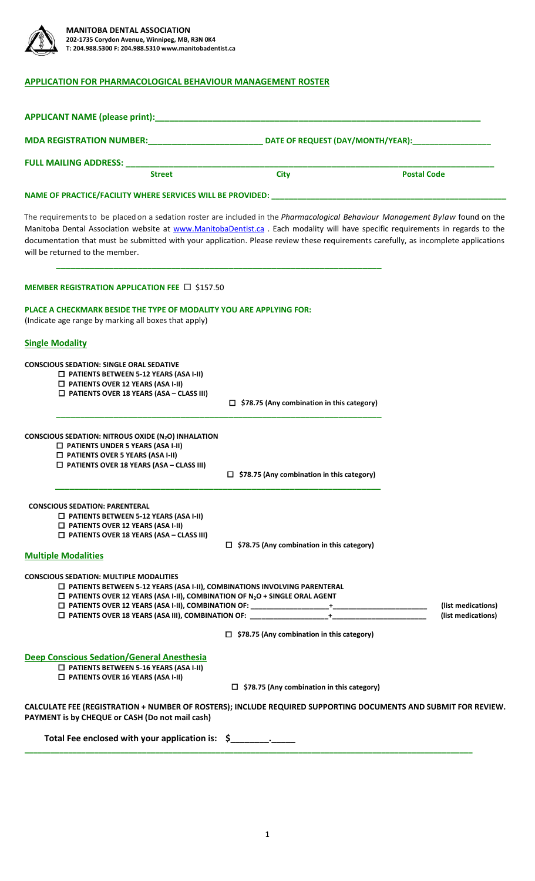

# **APPLICATION FOR PHARMACOLOGICAL BEHAVIOUR MANAGEMENT ROSTER**

| MDA REGISTRATION NUMBER: DELLE DELLE DETERTION DATE OF REQUEST (DAY/MONTH/YEAR):                                                                                                                                                                                                                                                                                                                                                           |                                                                                                                                                                                                                                                                                                                                                                         |                                          |  |
|--------------------------------------------------------------------------------------------------------------------------------------------------------------------------------------------------------------------------------------------------------------------------------------------------------------------------------------------------------------------------------------------------------------------------------------------|-------------------------------------------------------------------------------------------------------------------------------------------------------------------------------------------------------------------------------------------------------------------------------------------------------------------------------------------------------------------------|------------------------------------------|--|
| <b>FULL MAILING ADDRESS:</b>                                                                                                                                                                                                                                                                                                                                                                                                               |                                                                                                                                                                                                                                                                                                                                                                         |                                          |  |
| <b>Street</b>                                                                                                                                                                                                                                                                                                                                                                                                                              | <b>City</b>                                                                                                                                                                                                                                                                                                                                                             | <b>Postal Code</b>                       |  |
|                                                                                                                                                                                                                                                                                                                                                                                                                                            |                                                                                                                                                                                                                                                                                                                                                                         |                                          |  |
| The requirements to be placed on a sedation roster are included in the Pharmacological Behaviour Management Bylaw found on the<br>Manitoba Dental Association website at www.ManitobaDentist.ca . Each modality will have specific requirements in regards to the<br>documentation that must be submitted with your application. Please review these requirements carefully, as incomplete applications<br>will be returned to the member. |                                                                                                                                                                                                                                                                                                                                                                         |                                          |  |
| MEMBER REGISTRATION APPLICATION FEE □ \$157.50                                                                                                                                                                                                                                                                                                                                                                                             |                                                                                                                                                                                                                                                                                                                                                                         |                                          |  |
| PLACE A CHECKMARK BESIDE THE TYPE OF MODALITY YOU ARE APPLYING FOR:<br>(Indicate age range by marking all boxes that apply)                                                                                                                                                                                                                                                                                                                |                                                                                                                                                                                                                                                                                                                                                                         |                                          |  |
| <b>Single Modality</b>                                                                                                                                                                                                                                                                                                                                                                                                                     |                                                                                                                                                                                                                                                                                                                                                                         |                                          |  |
| <b>CONSCIOUS SEDATION: SINGLE ORAL SEDATIVE</b><br>$\Box$ PATIENTS BETWEEN 5-12 YEARS (ASA I-II)<br>$\Box$ PATIENTS OVER 12 YEARS (ASA I-II)<br>$\Box$ PATIENTS OVER 18 YEARS (ASA - CLASS III)                                                                                                                                                                                                                                            | $\Box$ \$78.75 (Any combination in this category)                                                                                                                                                                                                                                                                                                                       |                                          |  |
| <b>CONSCIOUS SEDATION: NITROUS OXIDE (N2O) INHALATION</b><br>$\Box$ PATIENTS UNDER 5 YEARS (ASA I-II)<br>$\Box$ PATIENTS OVER 5 YEARS (ASA I-II)<br>$\Box$ PATIENTS OVER 18 YEARS (ASA - CLASS III)                                                                                                                                                                                                                                        | $\Box$ \$78.75 (Any combination in this category)                                                                                                                                                                                                                                                                                                                       |                                          |  |
| <b>CONSCIOUS SEDATION: PARENTERAL</b><br>$\Box$ PATIENTS BETWEEN 5-12 YEARS (ASA I-II)<br>$\Box$ PATIENTS OVER 12 YEARS (ASA I-II)<br>$\Box$ PATIENTS OVER 18 YEARS (ASA – CLASS III)<br><b>Multiple Modalities</b>                                                                                                                                                                                                                        | $\Box$ \$78.75 (Any combination in this category)                                                                                                                                                                                                                                                                                                                       |                                          |  |
| <b>CONSCIOUS SEDATION: MULTIPLE MODALITIES</b><br>□ PATIENTS BETWEEN 5-12 YEARS (ASA I-II), COMBINATIONS INVOLVING PARENTERAL<br>$\Box$ PATIENTS OVER 12 YEARS (ASA I-II), COMBINATION OF N <sub>2</sub> O + SINGLE ORAL AGENT<br>□ PATIENTS OVER 18 YEARS (ASA III), COMBINATION OF: ____________________________                                                                                                                         | $\begin{picture}(10,10) \put(0,0){\dashbox{0.5}(10,0){ }} \put(10,0){\dashbox{0.5}(10,0){ }} \put(10,0){\dashbox{0.5}(10,0){ }} \put(10,0){\dashbox{0.5}(10,0){ }} \put(10,0){\dashbox{0.5}(10,0){ }} \put(10,0){\dashbox{0.5}(10,0){ }} \put(10,0){\dashbox{0.5}(10,0){ }} \put(10,0){\dashbox{0.5}(10,0){ }} \put(10,0){\dashbox{0.5}(10,0){ }} \put(10,0){\dashbox{$ | (list medications)<br>(list medications) |  |
|                                                                                                                                                                                                                                                                                                                                                                                                                                            | $\Box$ \$78.75 (Any combination in this category)                                                                                                                                                                                                                                                                                                                       |                                          |  |
| <b>Deep Conscious Sedation/General Anesthesia</b><br>$\Box$ PATIENTS BETWEEN 5-16 YEARS (ASA I-II)<br>$\Box$ PATIENTS OVER 16 YEARS (ASA I-II)                                                                                                                                                                                                                                                                                             | $\Box$ \$78.75 (Any combination in this category)                                                                                                                                                                                                                                                                                                                       |                                          |  |
| CALCULATE FEE (REGISTRATION + NUMBER OF ROSTERS); INCLUDE REQUIRED SUPPORTING DOCUMENTS AND SUBMIT FOR REVIEW.<br>PAYMENT is by CHEQUE or CASH (Do not mail cash)                                                                                                                                                                                                                                                                          |                                                                                                                                                                                                                                                                                                                                                                         |                                          |  |
| Total Fee enclosed with your application is: \$                                                                                                                                                                                                                                                                                                                                                                                            |                                                                                                                                                                                                                                                                                                                                                                         |                                          |  |